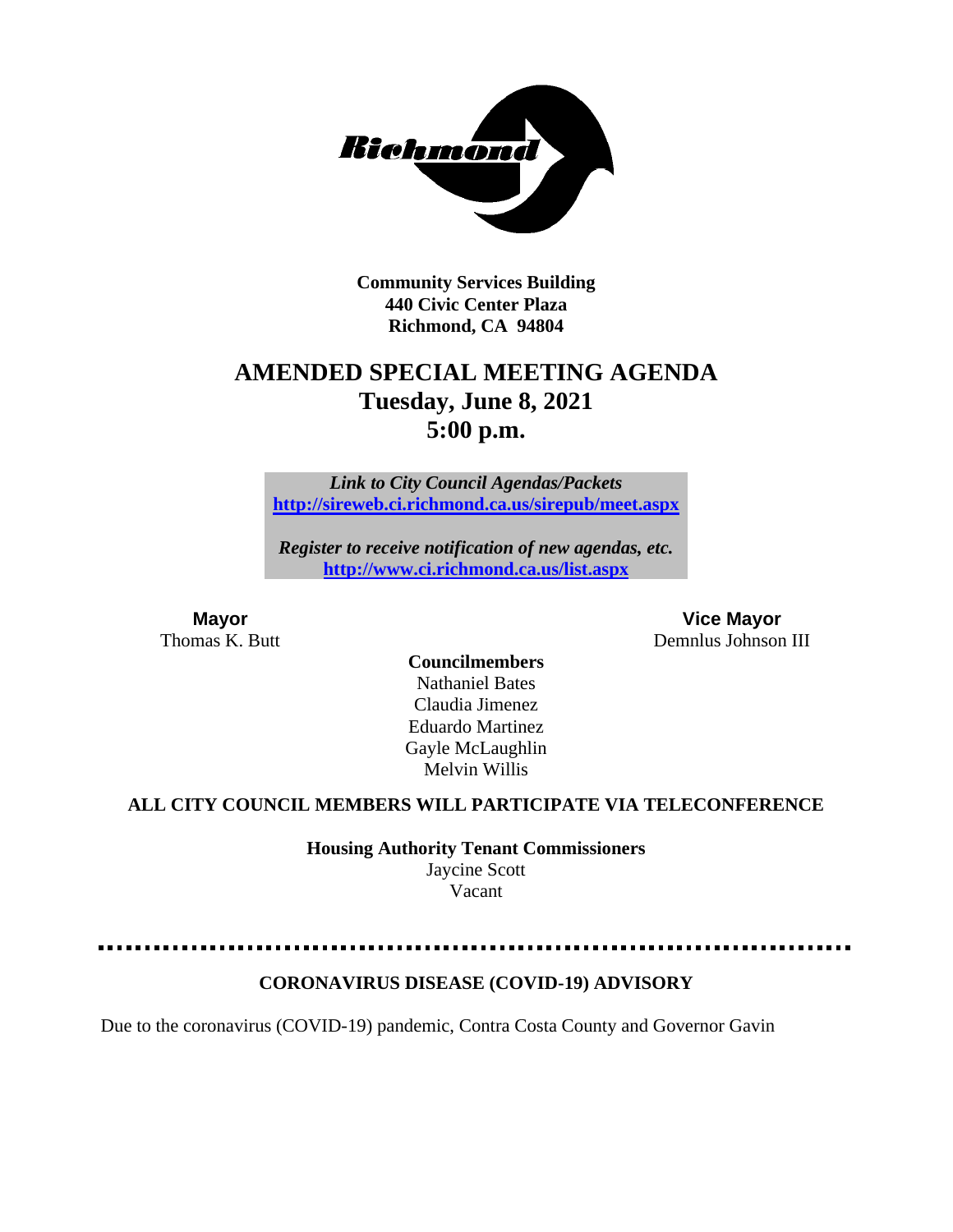

**Community Services Building 440 Civic Center Plaza Richmond, CA 94804**

## **AMENDED SPECIAL MEETING AGENDA Tuesday, June 8, 2021 5:00 p.m.**

*Link to City Council Agendas/Packets* **<http://sireweb.ci.richmond.ca.us/sirepub/meet.aspx>**

*Register to receive notification of new agendas, etc.* **<http://www.ci.richmond.ca.us/list.aspx>**

**Mayor Vice Mayor** Thomas K. Butt **Demnlus Johnson III** 

> **Councilmembers** Nathaniel Bates Claudia Jimenez Eduardo Martinez Gayle McLaughlin Melvin Willis

## **ALL CITY COUNCIL MEMBERS WILL PARTICIPATE VIA TELECONFERENCE**

**Housing Authority Tenant Commissioners** Jaycine Scott Vacant

## **CORONAVIRUS DISEASE (COVID-19) ADVISORY**

Due to the coronavirus (COVID-19) pandemic, Contra Costa County and Governor Gavin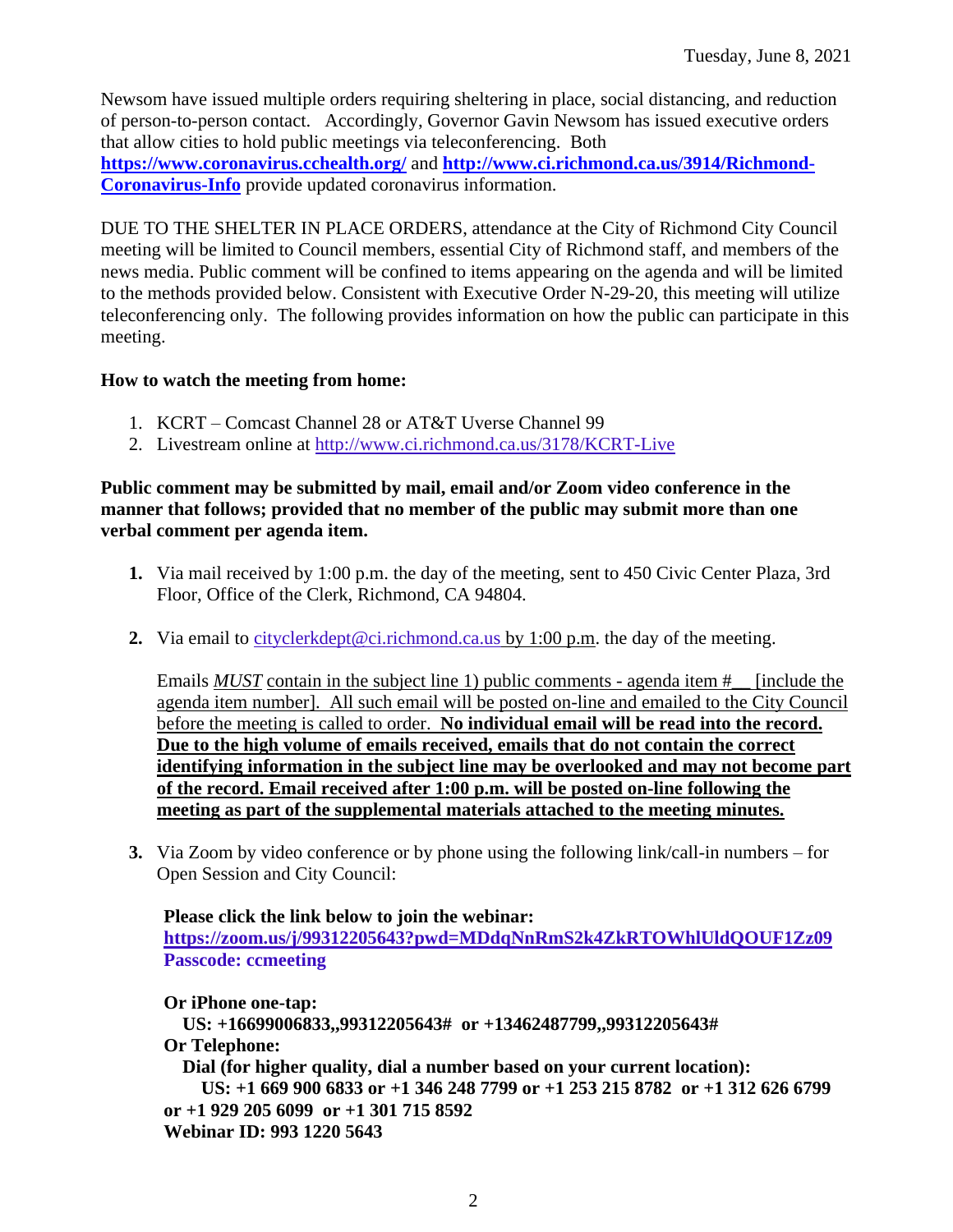Newsom have issued multiple orders requiring sheltering in place, social distancing, and reduction of person-to-person contact. Accordingly, Governor Gavin Newsom has issued executive orders that allow cities to hold public meetings via teleconferencing. Both **<https://www.coronavirus.cchealth.org/>** and **[http://www.ci.richmond.ca.us/3914/Richmond-](http://www.ci.richmond.ca.us/3914/Richmond-Coronavirus-Info)[Coronavirus-Info](http://www.ci.richmond.ca.us/3914/Richmond-Coronavirus-Info)** provide updated coronavirus information.

DUE TO THE SHELTER IN PLACE ORDERS, attendance at the City of Richmond City Council meeting will be limited to Council members, essential City of Richmond staff, and members of the news media. Public comment will be confined to items appearing on the agenda and will be limited to the methods provided below. Consistent with Executive Order N-29-20, this meeting will utilize teleconferencing only. The following provides information on how the public can participate in this meeting.

#### **How to watch the meeting from home:**

- 1. KCRT Comcast Channel 28 or AT&T Uverse Channel 99
- 2. Livestream online at<http://www.ci.richmond.ca.us/3178/KCRT-Live>

#### **Public comment may be submitted by mail, email and/or Zoom video conference in the manner that follows; provided that no member of the public may submit more than one verbal comment per agenda item.**

- **1.** Via mail received by 1:00 p.m. the day of the meeting, sent to 450 Civic Center Plaza, 3rd Floor, Office of the Clerk, Richmond, CA 94804.
- **2.** Via email to [cityclerkdept@ci.richmond.ca.us](mailto:cityclerkdept@ci.richmond.ca.us) by 1:00 p.m. the day of the meeting.

Emails *MUST* contain in the subject line 1) public comments - agenda item # [include the agenda item number]. All such email will be posted on-line and emailed to the City Council before the meeting is called to order. **No individual email will be read into the record. Due to the high volume of emails received, emails that do not contain the correct identifying information in the subject line may be overlooked and may not become part of the record. Email received after 1:00 p.m. will be posted on-line following the meeting as part of the supplemental materials attached to the meeting minutes.**

**3.** Via Zoom by video conference or by phone using the following link/call-in numbers – for Open Session and City Council:

**Please click the link below to join the webinar: <https://zoom.us/j/99312205643?pwd=MDdqNnRmS2k4ZkRTOWhlUldQOUF1Zz09> Passcode: ccmeeting**

**Or iPhone one-tap: US: +16699006833,,99312205643# or +13462487799,,99312205643# Or Telephone: Dial (for higher quality, dial a number based on your current location): US: +1 669 900 6833 or +1 346 248 7799 or +1 253 215 8782 or +1 312 626 6799 or +1 929 205 6099 or +1 301 715 8592 Webinar ID: 993 1220 5643**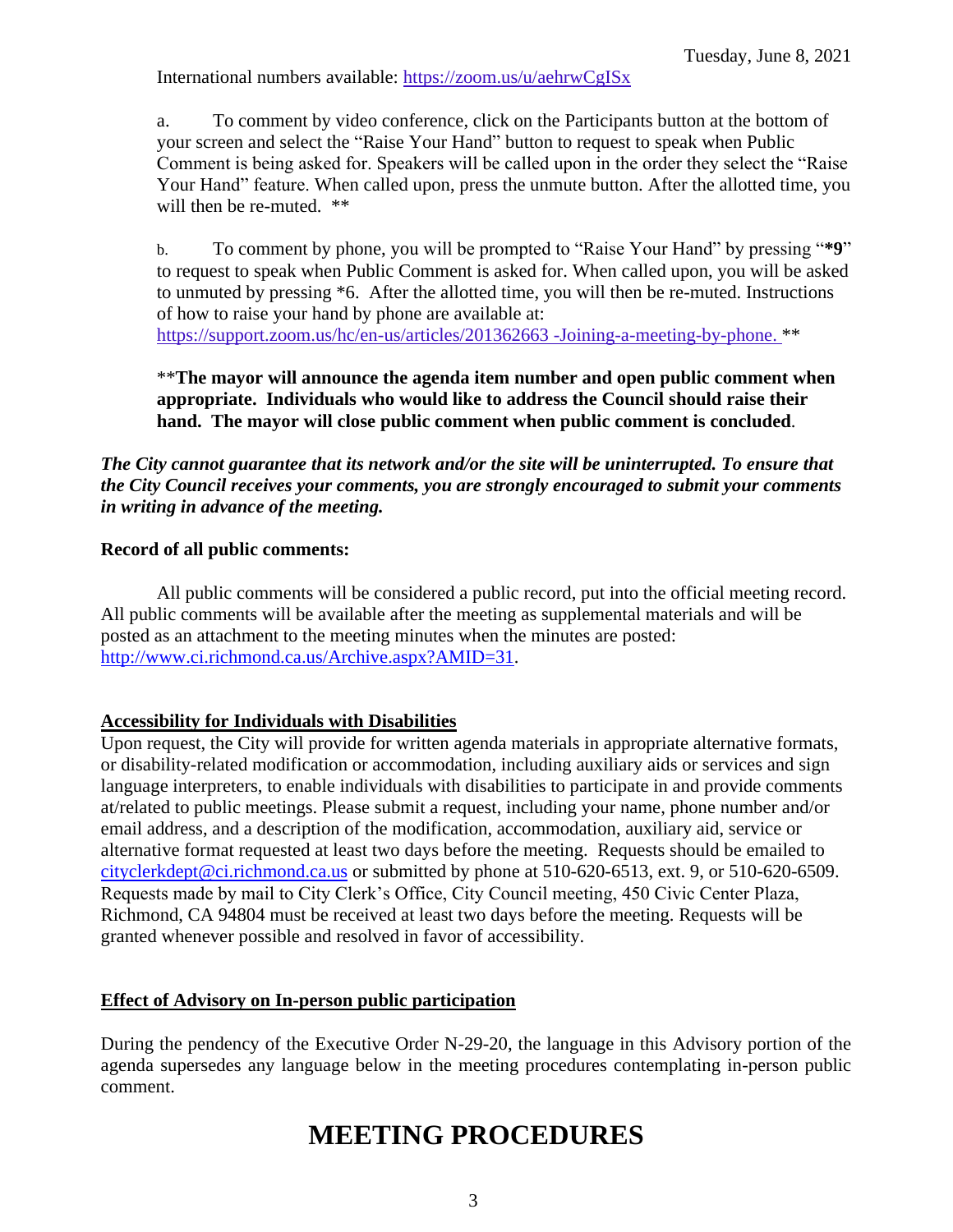International numbers available: <https://zoom.us/u/aehrwCgISx>

a. To comment by video conference, click on the Participants button at the bottom of your screen and select the "Raise Your Hand" button to request to speak when Public Comment is being asked for. Speakers will be called upon in the order they select the "Raise Your Hand" feature. When called upon, press the unmute button. After the allotted time, you will then be re-muted. \*\*

b. To comment by phone, you will be prompted to "Raise Your Hand" by pressing "**\*9**" to request to speak when Public Comment is asked for. When called upon, you will be asked to unmuted by pressing \*6. After the allotted time, you will then be re-muted. Instructions of how to raise your hand by phone are available at: [https://support.zoom.us/hc/en-us/articles/201362663 -Joining-a-meeting-by-phone.](https://support.zoom.us/hc/en-us/articles/201362663) \*\*

\*\***The mayor will announce the agenda item number and open public comment when appropriate. Individuals who would like to address the Council should raise their hand. The mayor will close public comment when public comment is concluded**.

## *The City cannot guarantee that its network and/or the site will be uninterrupted. To ensure that the City Council receives your comments, you are strongly encouraged to submit your comments in writing in advance of the meeting.*

#### **Record of all public comments:**

All public comments will be considered a public record, put into the official meeting record. All public comments will be available after the meeting as supplemental materials and will be posted as an attachment to the meeting minutes when the minutes are posted: [http://www.ci.richmond.ca.us/Archive.aspx?AMID=31.](http://www.ci.richmond.ca.us/Archive.aspx?AMID=31)

## **Accessibility for Individuals with Disabilities**

Upon request, the City will provide for written agenda materials in appropriate alternative formats, or disability-related modification or accommodation, including auxiliary aids or services and sign language interpreters, to enable individuals with disabilities to participate in and provide comments at/related to public meetings. Please submit a request, including your name, phone number and/or email address, and a description of the modification, accommodation, auxiliary aid, service or alternative format requested at least two days before the meeting. Requests should be emailed to [cityclerkdept@ci.richmond.ca.us](mailto:cityclerkdept@ci.richmond.ca.us) or submitted by phone at 510-620-6513, ext. 9, or 510-620-6509. Requests made by mail to City Clerk's Office, City Council meeting, 450 Civic Center Plaza, Richmond, CA 94804 must be received at least two days before the meeting. Requests will be granted whenever possible and resolved in favor of accessibility.

## **Effect of Advisory on In-person public participation**

During the pendency of the Executive Order N-29-20, the language in this Advisory portion of the agenda supersedes any language below in the meeting procedures contemplating in-person public comment.

# **MEETING PROCEDURES**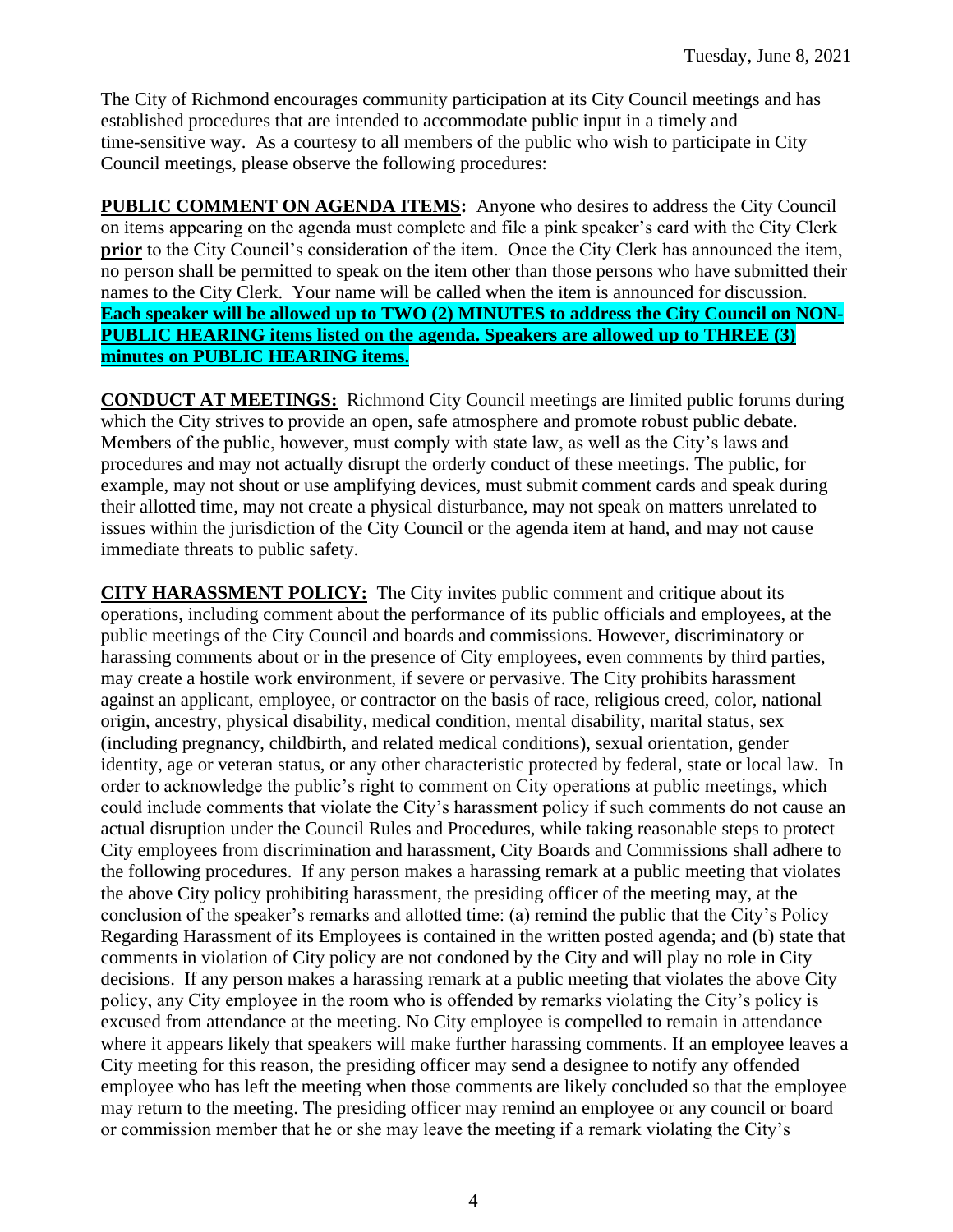The City of Richmond encourages community participation at its City Council meetings and has established procedures that are intended to accommodate public input in a timely and time-sensitive way. As a courtesy to all members of the public who wish to participate in City Council meetings, please observe the following procedures:

**PUBLIC COMMENT ON AGENDA ITEMS:** Anyone who desires to address the City Council on items appearing on the agenda must complete and file a pink speaker's card with the City Clerk **prior** to the City Council's consideration of the item. Once the City Clerk has announced the item, no person shall be permitted to speak on the item other than those persons who have submitted their names to the City Clerk. Your name will be called when the item is announced for discussion. **Each speaker will be allowed up to TWO (2) MINUTES to address the City Council on NON-PUBLIC HEARING items listed on the agenda. Speakers are allowed up to THREE (3) minutes on PUBLIC HEARING items.**

**CONDUCT AT MEETINGS:** Richmond City Council meetings are limited public forums during which the City strives to provide an open, safe atmosphere and promote robust public debate. Members of the public, however, must comply with state law, as well as the City's laws and procedures and may not actually disrupt the orderly conduct of these meetings. The public, for example, may not shout or use amplifying devices, must submit comment cards and speak during their allotted time, may not create a physical disturbance, may not speak on matters unrelated to issues within the jurisdiction of the City Council or the agenda item at hand, and may not cause immediate threats to public safety.

**CITY HARASSMENT POLICY:** The City invites public comment and critique about its operations, including comment about the performance of its public officials and employees, at the public meetings of the City Council and boards and commissions. However, discriminatory or harassing comments about or in the presence of City employees, even comments by third parties, may create a hostile work environment, if severe or pervasive. The City prohibits harassment against an applicant, employee, or contractor on the basis of race, religious creed, color, national origin, ancestry, physical disability, medical condition, mental disability, marital status, sex (including pregnancy, childbirth, and related medical conditions), sexual orientation, gender identity, age or veteran status, or any other characteristic protected by federal, state or local law. In order to acknowledge the public's right to comment on City operations at public meetings, which could include comments that violate the City's harassment policy if such comments do not cause an actual disruption under the Council Rules and Procedures, while taking reasonable steps to protect City employees from discrimination and harassment, City Boards and Commissions shall adhere to the following procedures. If any person makes a harassing remark at a public meeting that violates the above City policy prohibiting harassment, the presiding officer of the meeting may, at the conclusion of the speaker's remarks and allotted time: (a) remind the public that the City's Policy Regarding Harassment of its Employees is contained in the written posted agenda; and (b) state that comments in violation of City policy are not condoned by the City and will play no role in City decisions. If any person makes a harassing remark at a public meeting that violates the above City policy, any City employee in the room who is offended by remarks violating the City's policy is excused from attendance at the meeting. No City employee is compelled to remain in attendance where it appears likely that speakers will make further harassing comments. If an employee leaves a City meeting for this reason, the presiding officer may send a designee to notify any offended employee who has left the meeting when those comments are likely concluded so that the employee may return to the meeting. The presiding officer may remind an employee or any council or board or commission member that he or she may leave the meeting if a remark violating the City's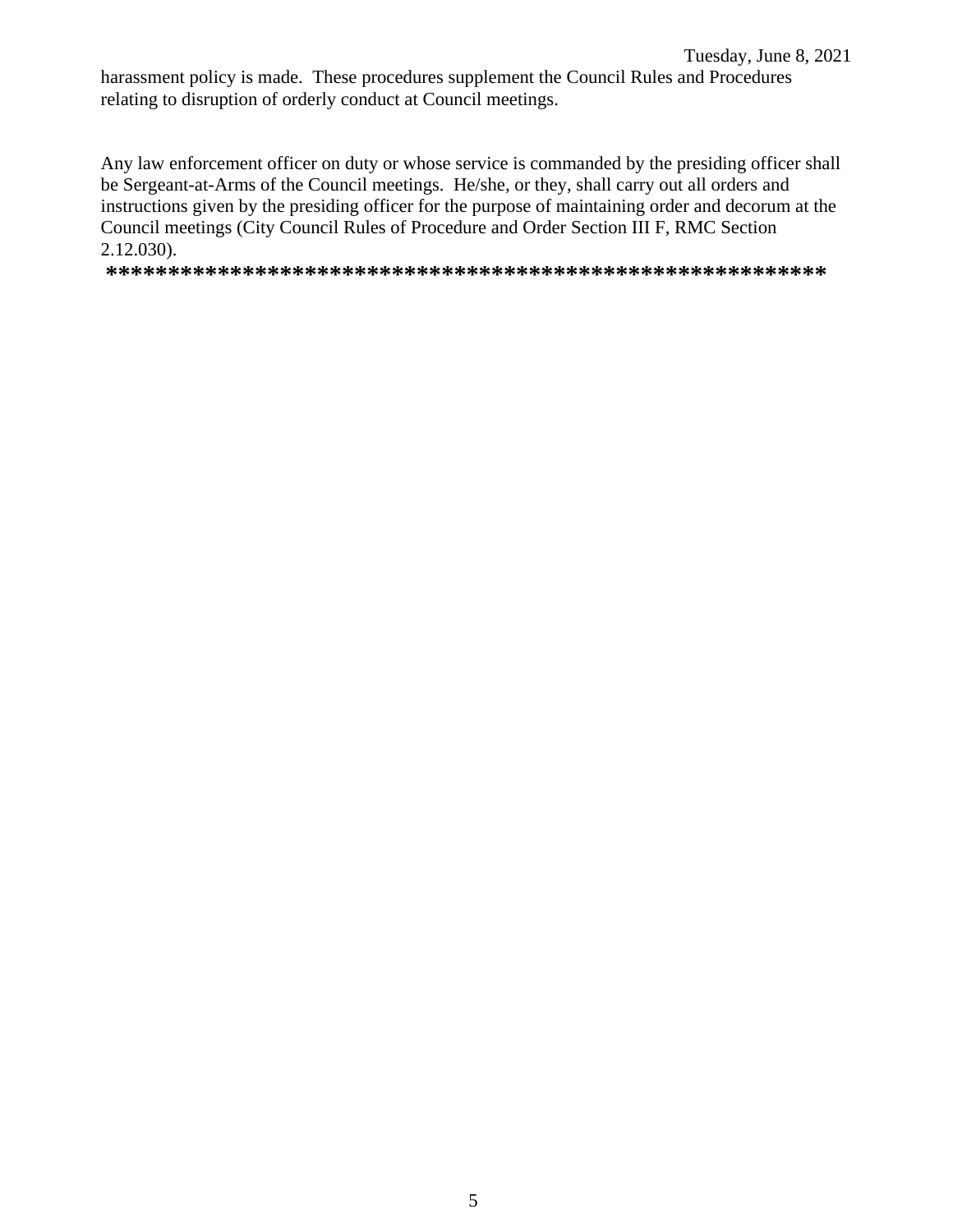harassment policy is made. These procedures supplement the Council Rules and Procedures relating to disruption of orderly conduct at Council meetings.

Any law enforcement officer on duty or whose service is commanded by the presiding officer shall be Sergeant-at-Arms of the Council meetings. He/she, or they, shall carry out all orders and instructions given by the presiding officer for the purpose of maintaining order and decorum at the Council meetings (City Council Rules of Procedure and Order Section III F, RMC Section 2.12.030).

**\*\*\*\*\*\*\*\*\*\*\*\*\*\*\*\*\*\*\*\*\*\*\*\*\*\*\*\*\*\*\*\*\*\*\*\*\*\*\*\*\*\*\*\*\*\*\*\*\*\*\*\*\*\*\*\*\*\***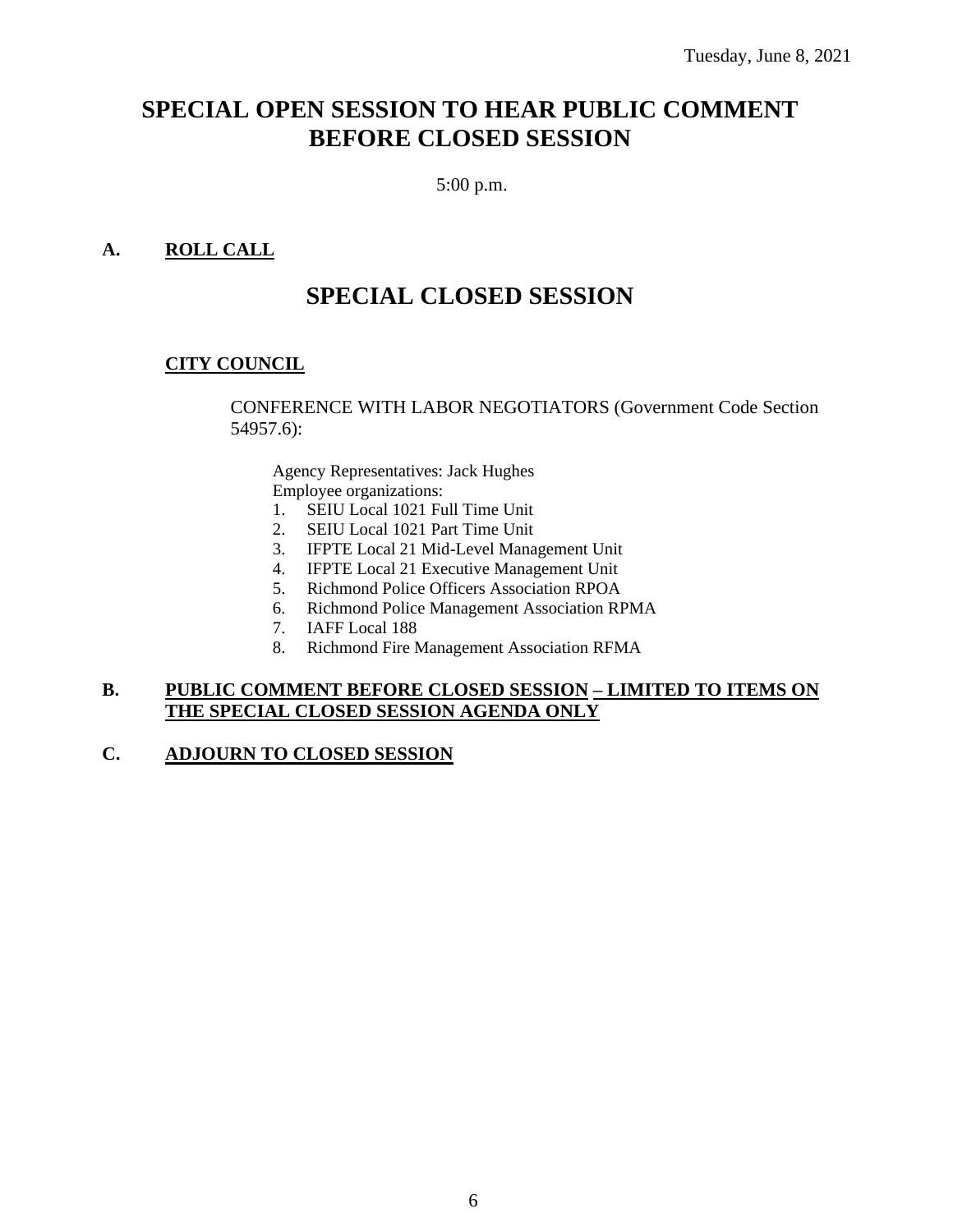## **SPECIAL OPEN SESSION TO HEAR PUBLIC COMMENT BEFORE CLOSED SESSION**

5:00 p.m.

## **A. ROLL CALL**

## **SPECIAL CLOSED SESSION**

## **CITY COUNCIL**

CONFERENCE WITH LABOR NEGOTIATORS (Government Code Section 54957.6):

Agency Representatives: Jack Hughes Employee organizations:

- 1. SEIU Local 1021 Full Time Unit
- 2. SEIU Local 1021 Part Time Unit
- 3. IFPTE Local 21 Mid-Level Management Unit
- 4. IFPTE Local 21 Executive Management Unit
- 5. Richmond Police Officers Association RPOA
- 6. Richmond Police Management Association RPMA
- 7. IAFF Local 188
- 8. Richmond Fire Management Association RFMA

#### **B. PUBLIC COMMENT BEFORE CLOSED SESSION – LIMITED TO ITEMS ON THE SPECIAL CLOSED SESSION AGENDA ONLY**

## **C. ADJOURN TO CLOSED SESSION**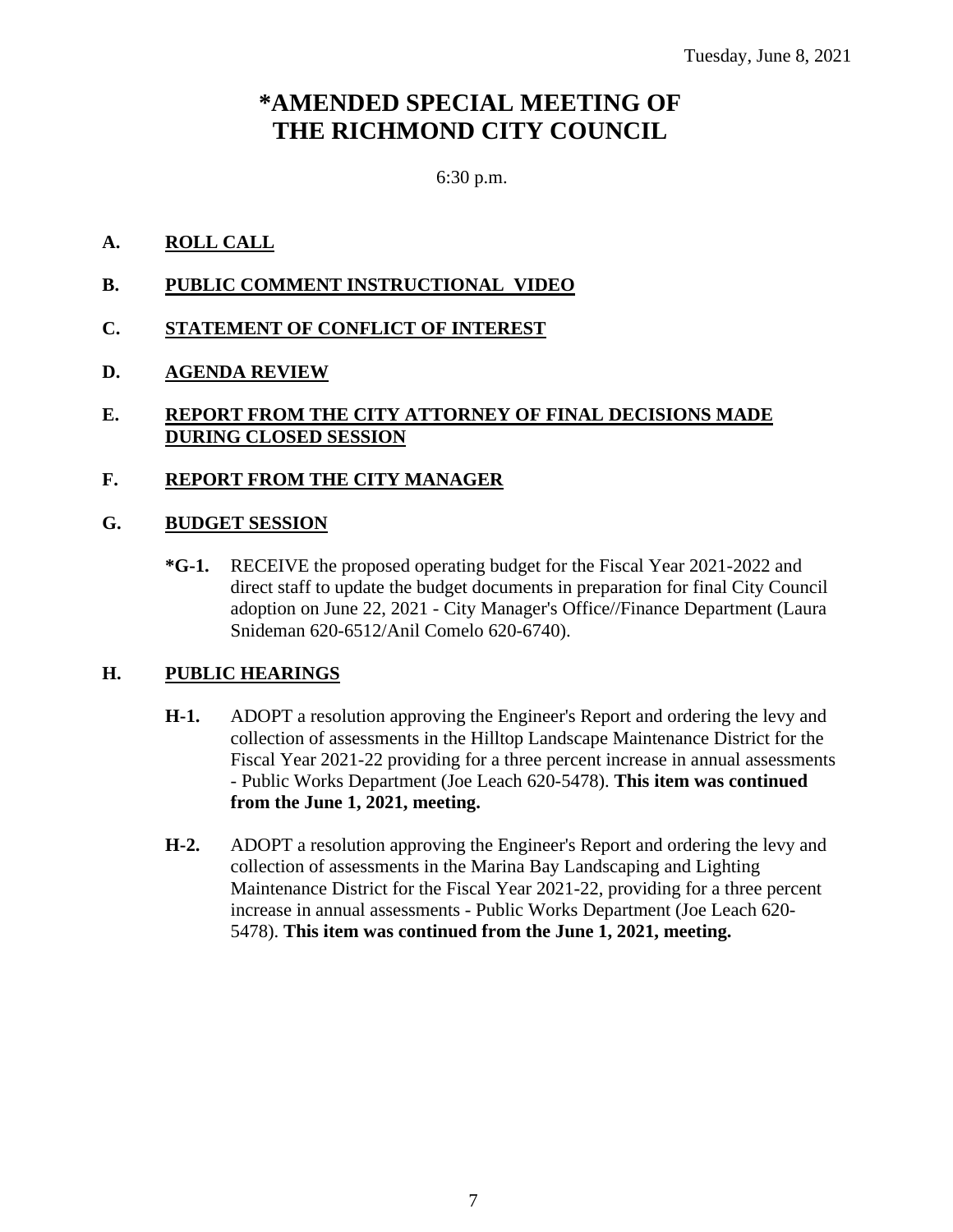## **\*AMENDED SPECIAL MEETING OF THE RICHMOND CITY COUNCIL**

## 6:30 p.m.

## **A. ROLL CALL**

- **B. PUBLIC COMMENT INSTRUCTIONAL VIDEO**
- **C. STATEMENT OF CONFLICT OF INTEREST**

## **D. AGENDA REVIEW**

## **E. REPORT FROM THE CITY ATTORNEY OF FINAL DECISIONS MADE DURING CLOSED SESSION**

## **F. REPORT FROM THE CITY MANAGER**

## **G. BUDGET SESSION**

**\*G-1.** RECEIVE the proposed operating budget for the Fiscal Year 2021-2022 and direct staff to update the budget documents in preparation for final City Council adoption on June 22, 2021 - City Manager's Office//Finance Department (Laura Snideman 620-6512/Anil Comelo 620-6740).

## **H. PUBLIC HEARINGS**

- **H-1.** ADOPT a resolution approving the Engineer's Report and ordering the levy and collection of assessments in the Hilltop Landscape Maintenance District for the Fiscal Year 2021-22 providing for a three percent increase in annual assessments - Public Works Department (Joe Leach 620-5478). **This item was continued from the June 1, 2021, meeting.**
- **H-2.** ADOPT a resolution approving the Engineer's Report and ordering the levy and collection of assessments in the Marina Bay Landscaping and Lighting Maintenance District for the Fiscal Year 2021-22, providing for a three percent increase in annual assessments - Public Works Department (Joe Leach 620- 5478). **This item was continued from the June 1, 2021, meeting.**